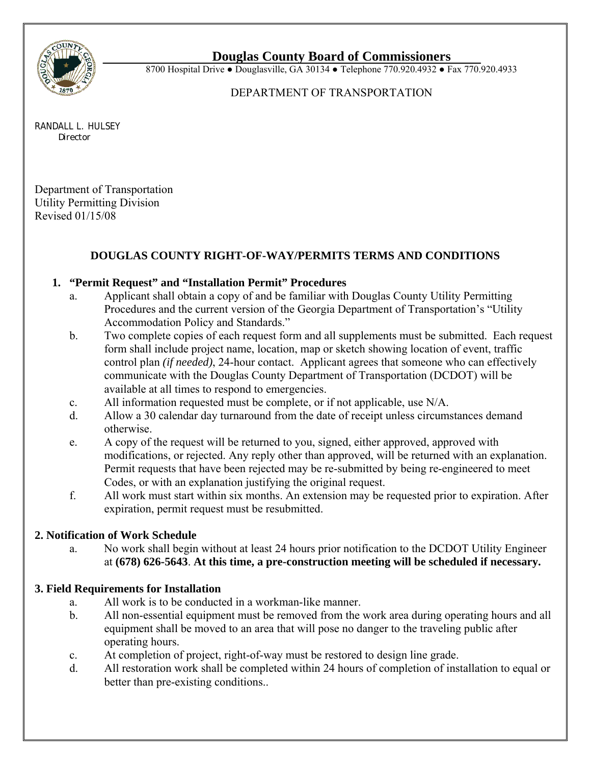

## **Douglas County Board of Commissioners**

8700 Hospital Drive • Douglasville, GA 30134 • Telephone 770.920.4932 • Fax 770.920.4933

### DEPARTMENT OF TRANSPORTATION

RANDALL L. HULSEY*Director* 

Department of Transportation Utility Permitting Division Revised 01/15/08

# **DOUGLAS COUNTY RIGHT-OF-WAY/PERMITS TERMS AND CONDITIONS**

## **1. "Permit Request" and "Installation Permit" Procedures**

- a. Applicant shall obtain a copy of and be familiar with Douglas County Utility Permitting Procedures and the current version of the Georgia Department of Transportation's "Utility Accommodation Policy and Standards."
- b. Two complete copies of each request form and all supplements must be submitted. Each request form shall include project name, location, map or sketch showing location of event, traffic control plan *(if needed)*, 24-hour contact. Applicant agrees that someone who can effectively communicate with the Douglas County Department of Transportation (DCDOT) will be available at all times to respond to emergencies.
- c. All information requested must be complete, or if not applicable, use N/A.
- d. Allow a 30 calendar day turnaround from the date of receipt unless circumstances demand otherwise.
- e. A copy of the request will be returned to you, signed, either approved, approved with modifications, or rejected. Any reply other than approved, will be returned with an explanation. Permit requests that have been rejected may be re-submitted by being re-engineered to meet Codes, or with an explanation justifying the original request.
- f. All work must start within six months. An extension may be requested prior to expiration. After expiration, permit request must be resubmitted.

## **2. Notification of Work Schedule**

 a. No work shall begin without at least 24 hours prior notification to the DCDOT Utility Engineer at **(678) 626-5643**. **At this time, a pre-construction meeting will be scheduled if necessary.** 

## **3. Field Requirements for Installation**

- a. All work is to be conducted in a workman-like manner.
- b. All non-essential equipment must be removed from the work area during operating hours and all equipment shall be moved to an area that will pose no danger to the traveling public after operating hours.
- c. At completion of project, right-of-way must be restored to design line grade.
- d. All restoration work shall be completed within 24 hours of completion of installation to equal or better than pre-existing conditions..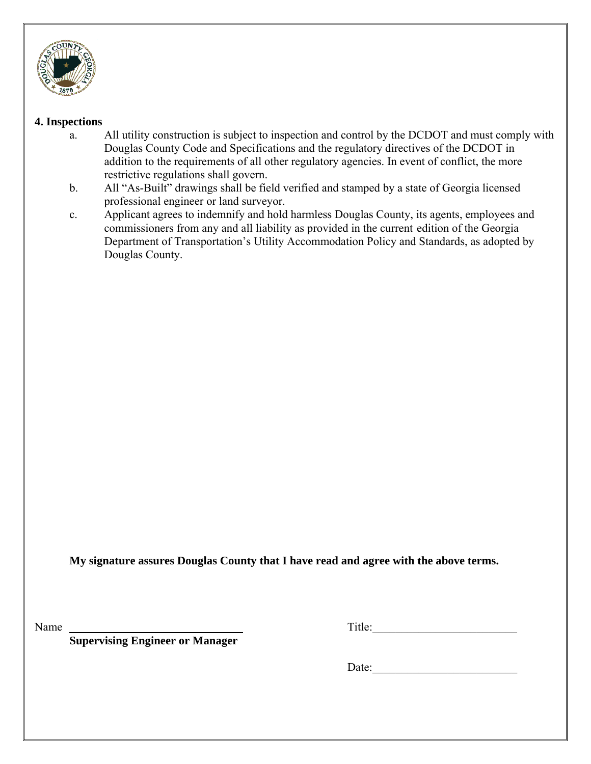

#### **4. Inspections**

- a. All utility construction is subject to inspection and control by the DCDOT and must comply with Douglas County Code and Specifications and the regulatory directives of the DCDOT in addition to the requirements of all other regulatory agencies. In event of conflict, the more restrictive regulations shall govern.
- b. All "As-Built" drawings shall be field verified and stamped by a state of Georgia licensed professional engineer or land surveyor.
- c. Applicant agrees to indemnify and hold harmless Douglas County, its agents, employees and commissioners from any and all liability as provided in the current edition of the Georgia Department of Transportation's Utility Accommodation Policy and Standards, as adopted by Douglas County.

**My signature assures Douglas County that I have read and agree with the above terms.** 

Name Title:

 **Supervising Engineer or Manager** 

Date: